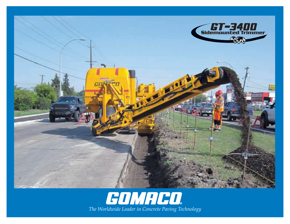